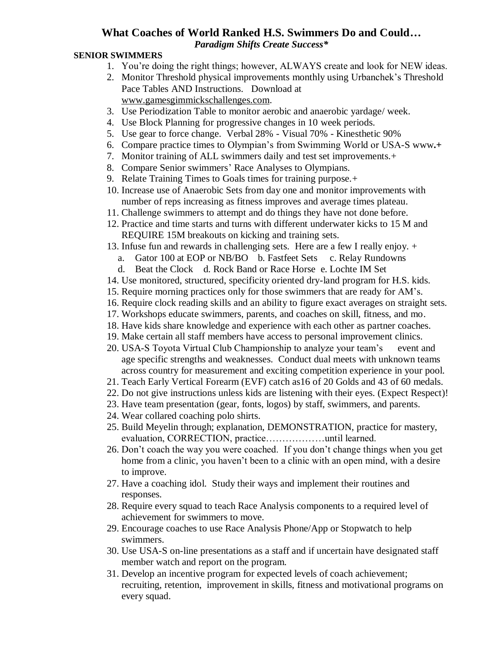## **What Coaches of World Ranked H.S. Swimmers Do and Could…**

*Paradigm Shifts Create Success\**

## **SENIOR SWIMMERS**

- 1. You're doing the right things; however, ALWAYS create and look for NEW ideas.
- 2. Monitor Threshold physical improvements monthly using Urbanchek's Threshold Pace Tables AND Instructions. Download at [www.gamesgimmickschallenges.com.](http://www.gamesgimmickschallenges.com/)
- 3. Use Periodization Table to monitor aerobic and anaerobic yardage/ week.
- 4. Use Block Planning for progressive changes in 10 week periods.
- 5. Use gear to force change. Verbal 28% Visual 70% Kinesthetic 90%
- 6. Compare practice times to Olympian's from Swimming World or USA-S www**.+**
- 7. Monitor training of ALL swimmers daily and test set improvements.+
- 8. Compare Senior swimmers' Race Analyses to Olympians.
- 9. Relate Training Times to Goals times for training purpose.+
- 10. Increase use of Anaerobic Sets from day one and monitor improvements with number of reps increasing as fitness improves and average times plateau.
- 11. Challenge swimmers to attempt and do things they have not done before.
- 12. Practice and time starts and turns with different underwater kicks to 15 M and REQUIRE 15M breakouts on kicking and training sets.
- 13. Infuse fun and rewards in challenging sets. Here are a few I really enjoy. +
	- a. Gator 100 at EOP or NB/BO b. Fastfeet Sets c. Relay Rundowns
	- d. Beat the Clock d. Rock Band or Race Horse e. Lochte IM Set
- 14. Use monitored, structured, specificity oriented dry-land program for H.S. kids.
- 15. Require morning practices only for those swimmers that are ready for AM's.
- 16. Require clock reading skills and an ability to figure exact averages on straight sets.
- 17. Workshops educate swimmers, parents, and coaches on skill, fitness, and mo.
- 18. Have kids share knowledge and experience with each other as partner coaches.
- 19. Make certain all staff members have access to personal improvement clinics.
- 20. USA-S Toyota Virtual Club Championship to analyze your team's event and age specific strengths and weaknesses. Conduct dual meets with unknown teams across country for measurement and exciting competition experience in your pool.
- 21. Teach Early Vertical Forearm (EVF) catch as16 of 20 Golds and 43 of 60 medals.
- 22. Do not give instructions unless kids are listening with their eyes. (Expect Respect)!
- 23. Have team presentation (gear, fonts, logos) by staff, swimmers, and parents.
- 24. Wear collared coaching polo shirts.
- 25. Build Meyelin through; explanation, DEMONSTRATION, practice for mastery, evaluation, CORRECTION, practice………………until learned.
- 26. Don't coach the way you were coached. If you don't change things when you get home from a clinic, you haven't been to a clinic with an open mind, with a desire to improve.
- 27. Have a coaching idol. Study their ways and implement their routines and responses.
- 28. Require every squad to teach Race Analysis components to a required level of achievement for swimmers to move.
- 29. Encourage coaches to use Race Analysis Phone/App or Stopwatch to help swimmers.
- 30. Use USA-S on-line presentations as a staff and if uncertain have designated staff member watch and report on the program.
- 31. Develop an incentive program for expected levels of coach achievement; recruiting, retention, improvement in skills, fitness and motivational programs on every squad.